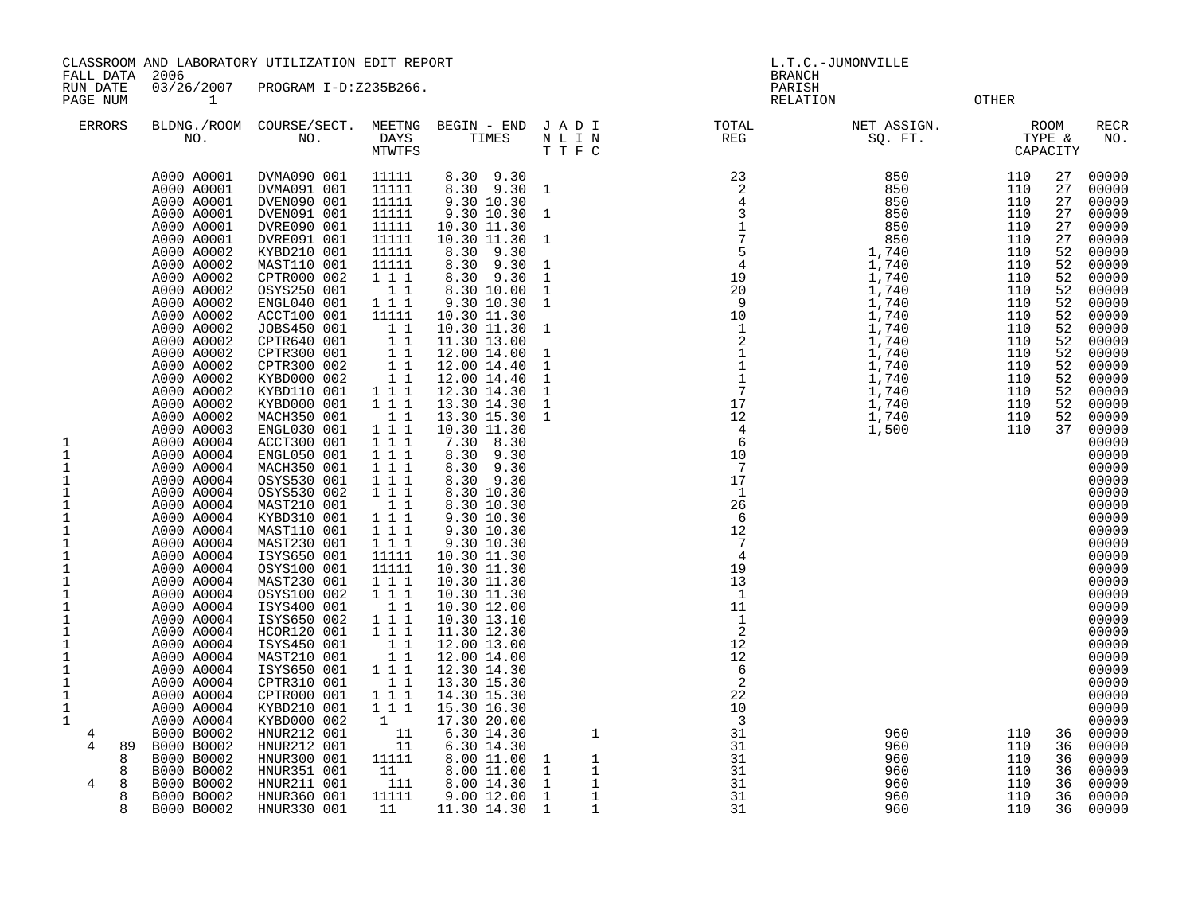CLASSROOM AND LABORATORY UTILIZATION EDIT REPORT AND MONOGRAPHICLE C.-JUMONVILLE

 FALL DATA 2006 BRANCH RUN DATE 03/26/2007 PROGRAM I-D:Z235B266. PARISH PAGE NUM  $1$  OTHER ERRORS BLDNG./ROOM COURSE/SECT. MEETNG BEGIN - END J A D I TOTAL NET ASSIGN. ROOM RECR NO. NO. DAYS TIMES N L I N REG SQ. FT. TYPE & NO. MTWTFS T T F C CAPACITY A000 A0001 DVMA090 001 11111 8.30 9.30 23 850 110 27 00000 A000 A0001 DVMA091 001 11111 8.30 9.30 1 2 850 110 27 00000 A000 A0001 DVEN090 001 11111 9.30 10.30 4 850 110 27 00000 A000 A0001 DVEN091 001 11111 9.30 10.30 1 3 850 110 27 00000 A000 A0001 DVRE090 001 11111 10.30 11.30 1 850 110 27 00000 A000 A0001 DVRE091 001 11111 10.30 11.30 1 7 850 110 27 00000 A000 A0002 KYBD210 001 11111 8.30 9.30 5 1,740 110 52 00000 A000 A0002 MAST110 001 11111 8.30 9.30 1 4 1,740 110 52 00000 A000 A0002 CPTR000 002 1 1 1 8.30 9.30 1 19 1,740 110 52 00000 A000 A0002 OSYS250 001 1 1 8.30 10.00 1 20 1,740 110 52 00000 A000 A0002 ENGL040 001 1 1 1 9.30 10.30 1 9 1,740 110 52 00000 A000 A0002 ACCT100 001 11111 10.30 11.30 10 1,740 110 52 00000 A000 A0002 JOBS450 001 1 1 10.30 11.30 1 1 1,740 110 52 00000 A000 A0002 CPTR640 001 1 1 11.30 13.00 2 1,740 110 52 00000 A000 A0002 CPTR300 001 1 1 12.00 14.00 1 1 1,740 110 52 00000 A000 A0002 CPTR300 002 1 1 12.00 14.40 1 1 1,740 110 52 00000 A000 A0002 KYBD000 002 1 1 12.00 14.40 1 1 1,740 110 52 00000 A000 A0002 KYBD110 001 1 1 1 12.30 14.30 1 7 1,740 110 52 00000 A000 A0002 KYBD000 001 1 1 1 13.30 14.30 1 17 1,740 110 52 00000 A000 A0002 MACH350 001 1 1 13.30 15.30 1 12 1,740 110 52 00000 A000 A0003 ENGL030 001 1 1 1 10.30 11.30 4 1,500 110 37 00000 1 A000 A0004 ACCT300 001 1 1 1 7.30 8.30 6 00000 1 A000 A0004 ENGL050 001 1 1 1 8.30 9.30 10 00000 1 A000 A0004 MACH350 001 1 1 1 8.30 9.30 7 00000 1 A000 A0004 OSYS530 001 1 1 1 8.30 9.30 17 00000 1 A000 A0004 OSYS530 002 1 1 1 8.30 10.30 1 00000 1 A000 A0004 MAST210 001 1 1 8.30 10.30 26 00000 1 A000 A0004 KYBD310 001 1 1 1 9.30 10.30 6 00000 1 A000 A0004 MAST110 001 1 1 1 9.30 10.30 12 00000 1 A000 A0004 MAST230 001 1 1 1 9.30 10.30 7 00000 1 A000 A0004 ISYS650 001 11111 10.30 11.30 4 00000 1 A000 A0004 OSYS100 001 11111 10.30 11.30 19 00000 1 A000 A0004 MAST230 001 1 1 1 10.30 11.30 13 00000 1 A000 A0004 OSYS100 002 1 1 1 10.30 11.30 1 00000 1 A000 A0004 ISYS400 001 1 1 10.30 12.00 11 00000 1 A000 A0004 ISYS650 002 1 1 1 10.30 13.10 1 00000 1 A000 A0004 HCOR120 001 1 1 1 11.30 12.30 2 00000 1 A000 A0004 ISYS450 001 1 1 12.00 13.00 12 00000 1 A000 A0004 MAST210 001 1 1 12.00 14.00 12 00000 1 A000 A0004 ISYS650 001 1 1 1 12.30 14.30 6 00000 1 A000 A0004 CPTR310 001 1 1 13.30 15.30 2 00000 1 A000 A0004 CPTR000 001 1 1 1 14.30 15.30 22 00000 1 A000 A0004 KYBD210 001 1 1 1 15.30 16.30 10 00000 1 A000 A0004 KYBD000 002 1 17.30 20.00 3 00000

4 B000 B0002 HNUR212 001 11 6.30 14.30 1 31 960 110 36 00000

8 B000 B0002 HNUR300 001 11111 8.00 11.00 1 1 31 960 110 36 00000 8 B000 B0002 HNUR351 001 11 8.00 11.00 1 1 31 960 110 36 00000

8 B000 B0002 HNUR360 001 11111 9.00 12.00 1 1 31 960 110 36 00000 8 B000 B0002 HNUR330 001 11 11.30 14.30 1 1 31 960 110 36 00000

4 89 B000 B0002 HNUR212 001 11 6.30 14.30 31 960 110 36 00000

4 8 B000 B0002 HNUR211 001 111 8.00 14.30 1 1 31 960 110 36 00000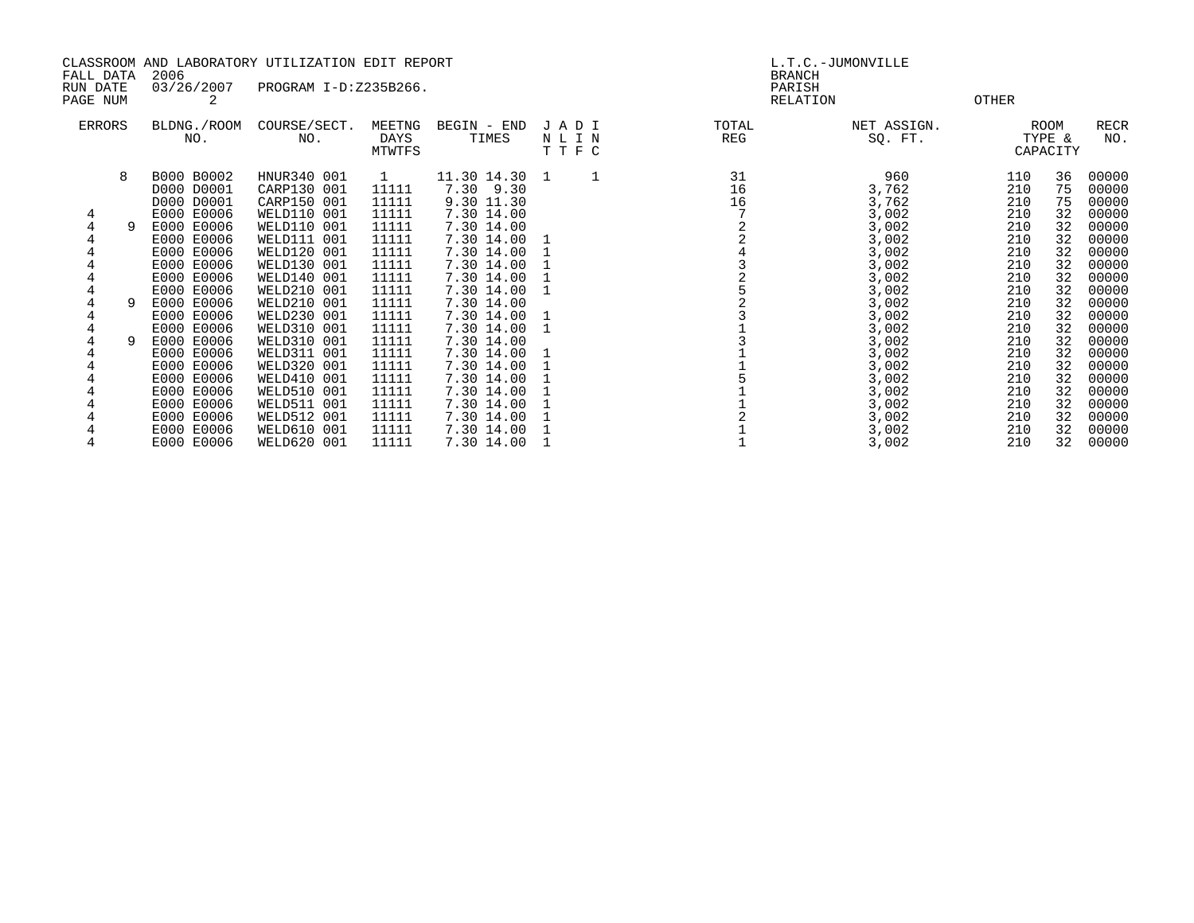| CLASSROOM AND LABORATORY UTILIZATION EDIT REPORT<br>2006<br>FALL DATA<br>03/26/2007<br>PROGRAM I-D:Z235B266.<br>RUN DATE |   |                                                      |                                                                        |                                         | L.T.C.-JUMONVILLE<br><b>BRANCH</b><br>PARISH           |                         |                |                                  |                          |                            |                                  |
|--------------------------------------------------------------------------------------------------------------------------|---|------------------------------------------------------|------------------------------------------------------------------------|-----------------------------------------|--------------------------------------------------------|-------------------------|----------------|----------------------------------|--------------------------|----------------------------|----------------------------------|
| PAGE NUM                                                                                                                 |   |                                                      |                                                                        |                                         |                                                        |                         | RELATION       | <b>OTHER</b>                     |                          |                            |                                  |
| ERRORS                                                                                                                   |   | BLDNG./ROOM<br>NO.                                   | COURSE/SECT.<br>NO.                                                    | MEETNG<br>DAYS<br>MTWTFS                | BEGIN - END<br>TIMES                                   | JADI<br>N L I N<br>TTFC | TOTAL<br>REG   | NET ASSIGN.<br>SQ. FT.           |                          | ROOM<br>TYPE &<br>CAPACITY | RECR<br>NO.                      |
| 4                                                                                                                        | 8 | B000 B0002<br>D000 D0001<br>D000 D0001<br>E000 E0006 | HNUR340 001<br>CARP130 001<br>CARP150 001<br><b>WELD110 001</b>        | $\mathbf{1}$<br>11111<br>11111<br>11111 | 11.30 14.30 1<br>7.30 9.30<br>9.30 11.30<br>7.30 14.00 |                         | 31<br>16<br>16 | 960<br>3,762<br>3,762<br>3,002   | 110<br>210<br>210<br>210 | 36<br>75<br>75<br>32       | 00000<br>00000<br>00000<br>00000 |
|                                                                                                                          |   | E000 E0006<br>E000 E0006<br>E000 E0006<br>E000 E0006 | WELD110 001<br>WELD111 001<br>WELD120 001<br>WELD130 001               | 11111<br>11111<br>11111<br>11111        | 7.30 14.00<br>7.30 14.00<br>7.30 14.00<br>7.30 14.00   |                         |                | 3,002<br>3,002<br>3,002<br>3,002 | 210<br>210<br>210<br>210 | 32<br>32<br>32<br>32       | 00000<br>00000<br>00000<br>00000 |
|                                                                                                                          |   | E000 E0006<br>E000 E0006<br>E000 E0006               | WELD140 001<br>WELD210 001<br>WELD210 001                              | 11111<br>11111<br>11111                 | 7.30 14.00<br>7.30 14.00<br>7.30 14.00                 |                         |                | 3,002<br>3,002<br>3,002          | 210<br>210<br>210        | 32<br>32<br>32             | 00000<br>00000<br>00000          |
|                                                                                                                          |   | E000 E0006<br>E000 E0006<br>E000 E0006<br>E000 E0006 | WELD230 001<br>WELD310 001<br>WELD310 001<br>WELD311 001               | 11111<br>11111<br>11111<br>11111        | 7.30 14.00<br>7.30 14.00<br>7.30 14.00<br>7.30 14.00   | 1                       |                | 3,002<br>3,002<br>3,002<br>3,002 | 210<br>210<br>210<br>210 | 32<br>32<br>32<br>32       | 00000<br>00000<br>00000<br>00000 |
|                                                                                                                          |   | E000 E0006<br>E000 E0006<br>E000 E0006               | WELD320 001<br>WELD410 001<br>WELD510 001                              | 11111<br>11111<br>11111                 | 7.30 14.00<br>7.30 14.00<br>7.30 14.00                 |                         |                | 3,002<br>3,002<br>3,002          | 210<br>210<br>210        | 32<br>32<br>32             | 00000<br>00000<br>00000          |
|                                                                                                                          |   | E000 E0006<br>E000 E0006<br>E000 E0006<br>E000 E0006 | WELD511 001<br>WELD512 001<br><b>WELD610 001</b><br><b>WELD620 001</b> | 11111<br>11111<br>11111<br>11111        | 7.30 14.00<br>7.30 14.00<br>7.30 14.00<br>7.30 14.00   |                         |                | 3,002<br>3,002<br>3,002<br>3,002 | 210<br>210<br>210<br>210 | 32<br>32<br>32<br>32       | 00000<br>00000<br>00000<br>00000 |
|                                                                                                                          |   |                                                      |                                                                        |                                         |                                                        |                         |                |                                  |                          |                            |                                  |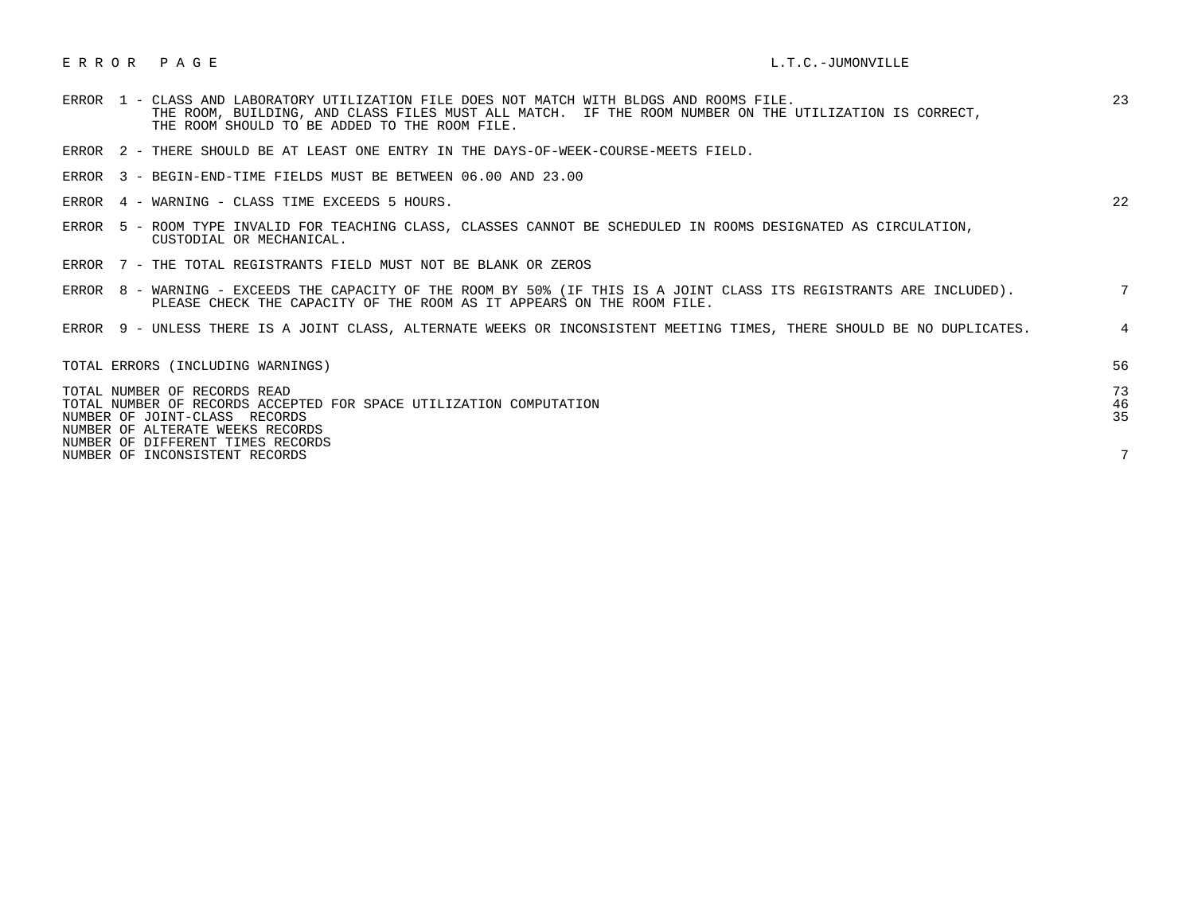## E R R O R P A G E L.T.C. -JUMONVILLE

| ERROR 1 - CLASS AND LABORATORY UTILIZATION FILE DOES NOT MATCH WITH BLDGS AND ROOMS FILE.<br>THE ROOM, BUILDING, AND CLASS FILES MUST ALL MATCH. IF THE ROOM NUMBER ON THE UTILIZATION IS CORRECT,<br>THE ROOM SHOULD TO BE ADDED TO THE ROOM FILE. | 23              |
|-----------------------------------------------------------------------------------------------------------------------------------------------------------------------------------------------------------------------------------------------------|-----------------|
| ERROR 2 - THERE SHOULD BE AT LEAST ONE ENTRY IN THE DAYS-OF-WEEK-COURSE-MEETS FIELD.                                                                                                                                                                |                 |
| ERROR 3 - BEGIN-END-TIME FIELDS MUST BE BETWEEN 06.00 AND 23.00                                                                                                                                                                                     |                 |
| ERROR 4 - WARNING - CLASS TIME EXCEEDS 5 HOURS.                                                                                                                                                                                                     | 22              |
| ERROR 5 - ROOM TYPE INVALID FOR TEACHING CLASS, CLASSES CANNOT BE SCHEDULED IN ROOMS DESIGNATED AS CIRCULATION,<br>CUSTODIAL OR MECHANICAL.                                                                                                         |                 |
| ERROR 7 - THE TOTAL REGISTRANTS FIELD MUST NOT BE BLANK OR ZEROS                                                                                                                                                                                    |                 |
| ERROR 8 - WARNING - EXCEEDS THE CAPACITY OF THE ROOM BY 50% (IF THIS IS A JOINT CLASS ITS REGISTRANTS ARE INCLUDED).<br>PLEASE CHECK THE CAPACITY OF THE ROOM AS IT APPEARS ON THE ROOM FILE.                                                       | $7\overline{ }$ |
| ERROR 9 - UNLESS THERE IS A JOINT CLASS, ALTERNATE WEEKS OR INCONSISTENT MEETING TIMES, THERE SHOULD BE NO DUPLICATES.                                                                                                                              | $\overline{4}$  |
| TOTAL ERRORS (INCLUDING WARNINGS)                                                                                                                                                                                                                   | 56              |
| TOTAL NUMBER OF RECORDS READ<br>TOTAL NUMBER OF RECORDS ACCEPTED FOR SPACE UTILIZATION COMPUTATION<br>NUMBER OF JOINT-CLASS RECORDS<br>NUMBER OF ALTERATE WEEKS RECORDS                                                                             | 73<br>46<br>35  |
| NUMBER OF DIFFERENT TIMES RECORDS<br>NUMBER OF INCONSISTENT RECORDS                                                                                                                                                                                 | 7               |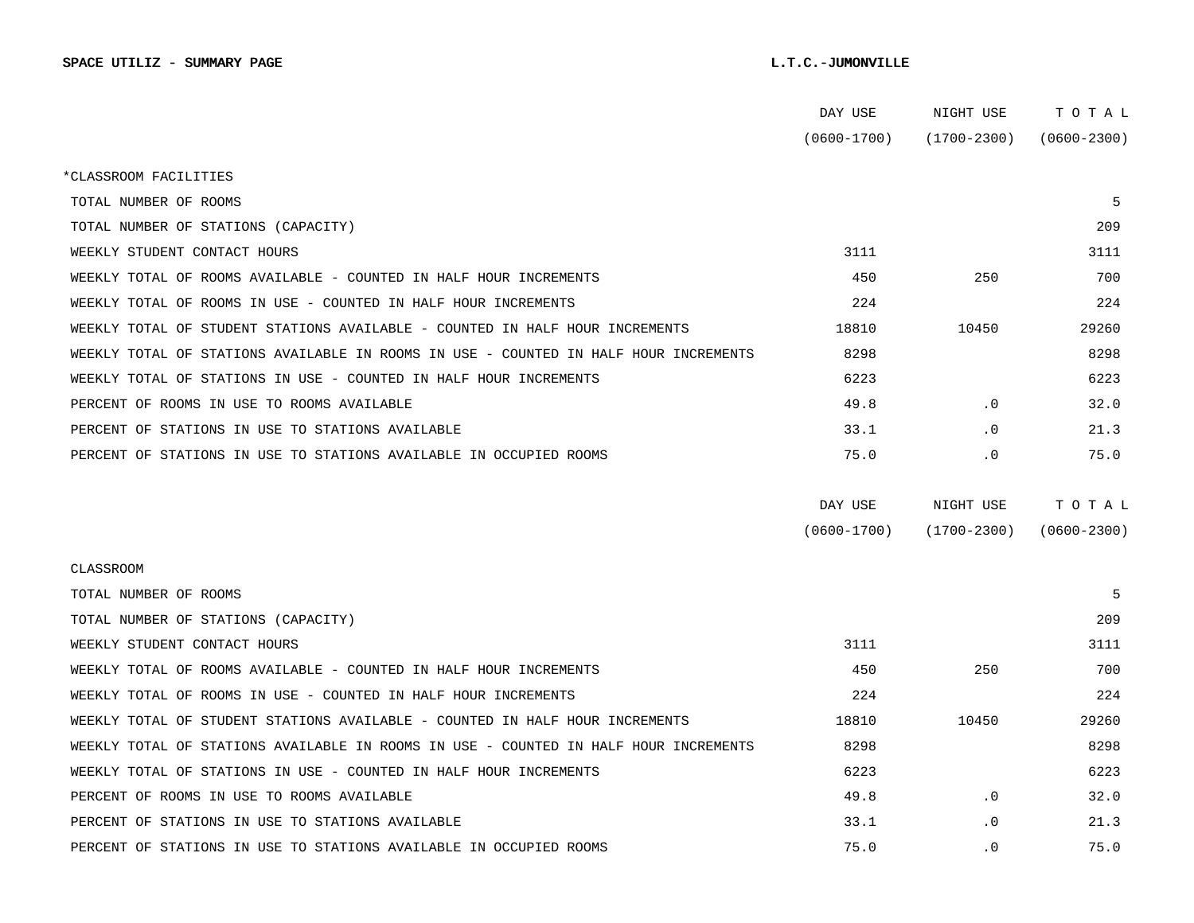|                                                                                      | DAY USE         | NIGHT USE       | тотаь           |
|--------------------------------------------------------------------------------------|-----------------|-----------------|-----------------|
|                                                                                      | $(0600 - 1700)$ | (1700-2300)     | $(0600 - 2300)$ |
| *CLASSROOM FACILITIES                                                                |                 |                 |                 |
| TOTAL NUMBER OF ROOMS                                                                |                 |                 | 5               |
| TOTAL NUMBER OF STATIONS (CAPACITY)                                                  |                 |                 | 209             |
| WEEKLY STUDENT CONTACT HOURS                                                         | 3111            |                 | 3111            |
| WEEKLY TOTAL OF ROOMS AVAILABLE - COUNTED IN HALF HOUR INCREMENTS                    | 450             | 250             | 700             |
| WEEKLY TOTAL OF ROOMS IN USE - COUNTED IN HALF HOUR INCREMENTS                       | 224             |                 | 224             |
| WEEKLY TOTAL OF STUDENT STATIONS AVAILABLE - COUNTED IN HALF HOUR INCREMENTS         | 18810           | 10450           | 29260           |
| WEEKLY TOTAL OF STATIONS AVAILABLE IN ROOMS IN USE - COUNTED IN HALF HOUR INCREMENTS | 8298            |                 | 8298            |
| WEEKLY TOTAL OF STATIONS IN USE - COUNTED IN HALF HOUR INCREMENTS                    | 6223            |                 | 6223            |
| PERCENT OF ROOMS IN USE TO ROOMS AVAILABLE                                           | 49.8            | $\cdot$ 0       | 32.0            |
| PERCENT OF STATIONS IN USE TO STATIONS AVAILABLE                                     | 33.1            | $\cdot$ 0       | 21.3            |
| PERCENT OF STATIONS IN USE TO STATIONS AVAILABLE IN OCCUPIED ROOMS                   | 75.0            | $\cdot$ 0       | 75.0            |
|                                                                                      |                 |                 |                 |
|                                                                                      | DAY USE         | NIGHT USE       | TOTAL           |
|                                                                                      | $(0600 - 1700)$ | $(1700 - 2300)$ | $(0600 - 2300)$ |
| CLASSROOM                                                                            |                 |                 |                 |
| TOTAL NUMBER OF ROOMS                                                                |                 |                 | 5               |
| TOTAL NUMBER OF STATIONS (CAPACITY)                                                  |                 |                 | 209             |
| WEEKLY STUDENT CONTACT HOURS                                                         | 3111            |                 | 3111            |
| WEEKLY TOTAL OF ROOMS AVAILABLE - COUNTED IN HALF HOUR INCREMENTS                    | 450             | 250             | 700             |
| WEEKLY TOTAL OF ROOMS IN USE - COUNTED IN HALF HOUR INCREMENTS                       | 224             |                 | 224             |
| WEEKLY TOTAL OF STUDENT STATIONS AVAILABLE - COUNTED IN HALF HOUR INCREMENTS         | 18810           | 10450           | 29260           |
| WEEKLY TOTAL OF STATIONS AVAILABLE IN ROOMS IN USE - COUNTED IN HALF HOUR INCREMENTS | 8298            |                 | 8298            |
| WEEKLY TOTAL OF STATIONS IN USE - COUNTED IN HALF HOUR INCREMENTS                    | 6223            |                 | 6223            |
| PERCENT OF ROOMS IN USE TO ROOMS AVAILABLE                                           | 49.8            | $\cdot$ 0       | 32.0            |
| PERCENT OF STATIONS IN USE TO STATIONS AVAILABLE                                     |                 |                 |                 |
|                                                                                      | 33.1            | $\cdot$ 0       | 21.3            |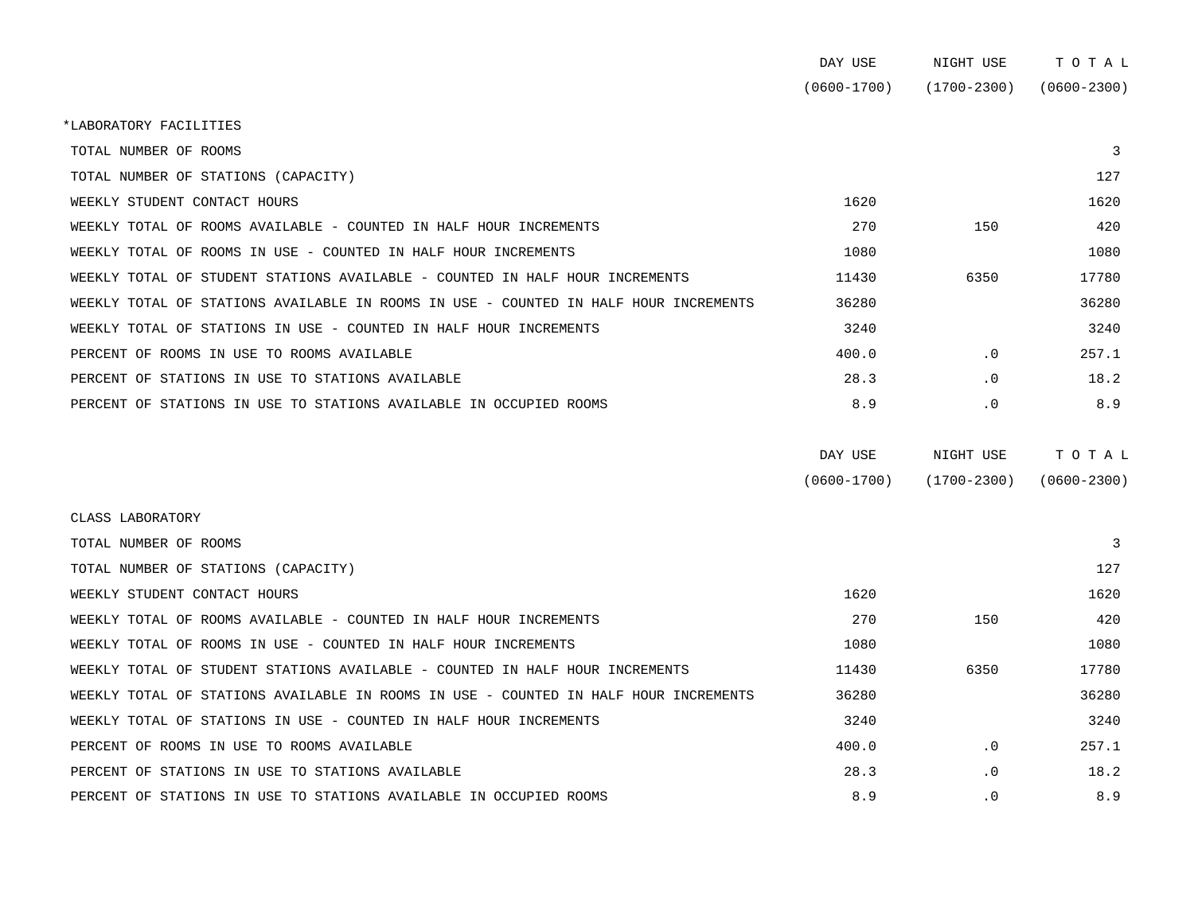|                                                                                      | DAY USE         | NIGHT USE       | TOTAL           |
|--------------------------------------------------------------------------------------|-----------------|-----------------|-----------------|
|                                                                                      | $(0600 - 1700)$ | $(1700 - 2300)$ | $(0600 - 2300)$ |
| *LABORATORY FACILITIES                                                               |                 |                 |                 |
| TOTAL NUMBER OF ROOMS                                                                |                 |                 | 3               |
| TOTAL NUMBER OF STATIONS (CAPACITY)                                                  |                 |                 | 127             |
| WEEKLY STUDENT CONTACT HOURS                                                         | 1620            |                 | 1620            |
| WEEKLY TOTAL OF ROOMS AVAILABLE - COUNTED IN HALF HOUR INCREMENTS                    | 270             | 150             | 420             |
| WEEKLY TOTAL OF ROOMS IN USE - COUNTED IN HALF HOUR INCREMENTS                       | 1080            |                 | 1080            |
| WEEKLY TOTAL OF STUDENT STATIONS AVAILABLE - COUNTED IN HALF HOUR INCREMENTS         | 11430           | 6350            | 17780           |
| WEEKLY TOTAL OF STATIONS AVAILABLE IN ROOMS IN USE - COUNTED IN HALF HOUR INCREMENTS | 36280           |                 | 36280           |
| WEEKLY TOTAL OF STATIONS IN USE - COUNTED IN HALF HOUR INCREMENTS                    | 3240            |                 | 3240            |
| PERCENT OF ROOMS IN USE TO ROOMS AVAILABLE                                           | 400.0           | $\cdot$ 0       | 257.1           |
| PERCENT OF STATIONS IN USE TO STATIONS AVAILABLE                                     | 28.3            | . 0             | 18.2            |
| PERCENT OF STATIONS IN USE TO STATIONS AVAILABLE IN OCCUPIED ROOMS                   | 8.9             | . 0             | 8.9             |
|                                                                                      | DAY USE         | NIGHT USE       | TOTAL           |
|                                                                                      | $(0600 - 1700)$ | $(1700 - 2300)$ | $(0600 - 2300)$ |
| CLASS LABORATORY                                                                     |                 |                 |                 |
| TOTAL NUMBER OF ROOMS                                                                |                 |                 | 3               |
| TOTAL NUMBER OF STATIONS (CAPACITY)                                                  |                 |                 | 127             |
| WEEKLY STUDENT CONTACT HOURS                                                         | 1620            |                 | 1620            |
| WEEKLY TOTAL OF ROOMS AVAILABLE - COUNTED IN HALF HOUR INCREMENTS                    | 270             | 150             | 420             |
| WEEKLY TOTAL OF ROOMS IN USE - COUNTED IN HALF HOUR INCREMENTS                       | 1080            |                 | 1080            |
| WEEKLY TOTAL OF STUDENT STATIONS AVAILABLE - COUNTED IN HALF HOUR INCREMENTS         | 11430           | 6350            | 17780           |

 WEEKLY TOTAL OF STATIONS AVAILABLE IN ROOMS IN USE - COUNTED IN HALF HOUR INCREMENTS 36280 36280 WEEKLY TOTAL OF STATIONS IN USE - COUNTED IN HALF HOUR INCREMENTS 3240 3340 PERCENT OF ROOMS IN USE TO ROOMS AVAILABLE **All and the CONSTANT ACCESS ACCESS 400.0** .0 .0 257.1 PERCENT OF STATIONS IN USE TO STATIONS AVAILABLE  $28.3$  .0 18.2 PERCENT OF STATIONS IN USE TO STATIONS AVAILABLE IN OCCUPIED ROOMS  $8.9$  .0 8.9